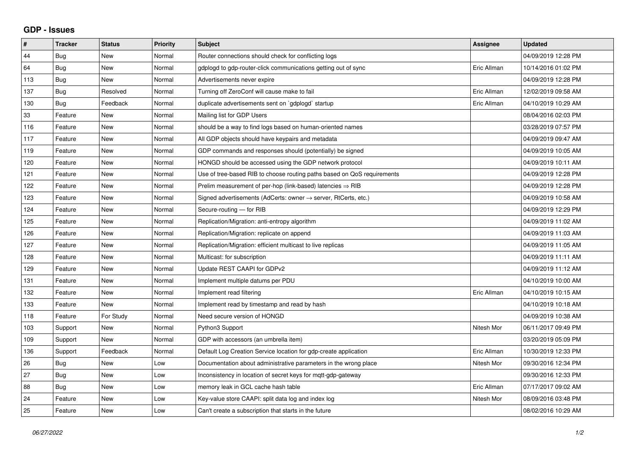## **GDP - Issues**

| #   | <b>Tracker</b> | <b>Status</b> | <b>Priority</b> | <b>Subject</b>                                                          | Assignee    | <b>Updated</b>      |
|-----|----------------|---------------|-----------------|-------------------------------------------------------------------------|-------------|---------------------|
| 44  | Bug            | <b>New</b>    | Normal          | Router connections should check for conflicting logs                    |             | 04/09/2019 12:28 PM |
| 64  | Bug            | New           | Normal          | gdplogd to gdp-router-click communications getting out of sync          | Eric Allman | 10/14/2016 01:02 PM |
| 113 | Bug            | New           | Normal          | Advertisements never expire                                             |             | 04/09/2019 12:28 PM |
| 137 | Bug            | Resolved      | Normal          | Turning off ZeroConf will cause make to fail                            | Eric Allman | 12/02/2019 09:58 AM |
| 130 | <b>Bug</b>     | Feedback      | Normal          | duplicate advertisements sent on `gdplogd` startup                      | Eric Allman | 04/10/2019 10:29 AM |
| 33  | Feature        | <b>New</b>    | Normal          | Mailing list for GDP Users                                              |             | 08/04/2016 02:03 PM |
| 116 | Feature        | <b>New</b>    | Normal          | should be a way to find logs based on human-oriented names              |             | 03/28/2019 07:57 PM |
| 117 | Feature        | <b>New</b>    | Normal          | All GDP objects should have keypairs and metadata                       |             | 04/09/2019 09:47 AM |
| 119 | Feature        | <b>New</b>    | Normal          | GDP commands and responses should (potentially) be signed               |             | 04/09/2019 10:05 AM |
| 120 | Feature        | <b>New</b>    | Normal          | HONGD should be accessed using the GDP network protocol                 |             | 04/09/2019 10:11 AM |
| 121 | Feature        | <b>New</b>    | Normal          | Use of tree-based RIB to choose routing paths based on QoS requirements |             | 04/09/2019 12:28 PM |
| 122 | Feature        | <b>New</b>    | Normal          | Prelim measurement of per-hop (link-based) latencies $\Rightarrow$ RIB  |             | 04/09/2019 12:28 PM |
| 123 | Feature        | <b>New</b>    | Normal          | Signed advertisements (AdCerts: owner → server, RtCerts, etc.)          |             | 04/09/2019 10:58 AM |
| 124 | Feature        | <b>New</b>    | Normal          | Secure-routing - for RIB                                                |             | 04/09/2019 12:29 PM |
| 125 | Feature        | <b>New</b>    | Normal          | Replication/Migration: anti-entropy algorithm                           |             | 04/09/2019 11:02 AM |
| 126 | Feature        | <b>New</b>    | Normal          | Replication/Migration: replicate on append                              |             | 04/09/2019 11:03 AM |
| 127 | Feature        | <b>New</b>    | Normal          | Replication/Migration: efficient multicast to live replicas             |             | 04/09/2019 11:05 AM |
| 128 | Feature        | <b>New</b>    | Normal          | Multicast: for subscription                                             |             | 04/09/2019 11:11 AM |
| 129 | Feature        | <b>New</b>    | Normal          | Update REST CAAPI for GDPv2                                             |             | 04/09/2019 11:12 AM |
| 131 | Feature        | <b>New</b>    | Normal          | Implement multiple datums per PDU                                       |             | 04/10/2019 10:00 AM |
| 132 | Feature        | New           | Normal          | Implement read filtering                                                | Eric Allman | 04/10/2019 10:15 AM |
| 133 | Feature        | <b>New</b>    | Normal          | Implement read by timestamp and read by hash                            |             | 04/10/2019 10:18 AM |
| 118 | Feature        | For Study     | Normal          | Need secure version of HONGD                                            |             | 04/09/2019 10:38 AM |
| 103 | Support        | <b>New</b>    | Normal          | Python3 Support                                                         | Nitesh Mor  | 06/11/2017 09:49 PM |
| 109 | Support        | <b>New</b>    | Normal          | GDP with accessors (an umbrella item)                                   |             | 03/20/2019 05:09 PM |
| 136 | Support        | Feedback      | Normal          | Default Log Creation Service location for gdp-create application        | Eric Allman | 10/30/2019 12:33 PM |
| 26  | <b>Bug</b>     | <b>New</b>    | Low             | Documentation about administrative parameters in the wrong place        | Nitesh Mor  | 09/30/2016 12:34 PM |
| 27  | Bug            | <b>New</b>    | Low             | Inconsistency in location of secret keys for mqtt-gdp-gateway           |             | 09/30/2016 12:33 PM |
| 88  | Bug            | <b>New</b>    | Low             | memory leak in GCL cache hash table                                     | Eric Allman | 07/17/2017 09:02 AM |
| 24  | Feature        | <b>New</b>    | Low             | Key-value store CAAPI: split data log and index log                     | Nitesh Mor  | 08/09/2016 03:48 PM |
| 25  | Feature        | New           | Low             | Can't create a subscription that starts in the future                   |             | 08/02/2016 10:29 AM |